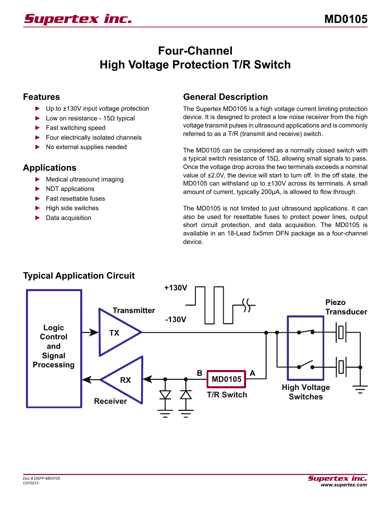# **Four-Channel High Voltage Protection T/R Switch**

#### **Features**

- ► Up to ±130V input voltage protection
- $\blacktriangleright$  Low on resistance 15Ω typical
- ► Fast switching speed
- ► Four electrically isolated channels
- ► No external supplies needed

## **Applications**

- ► Medical ultrasound imaging
- ► NDT applications
- ► Fast resettable fuses
- ► High side switches
- Data acquisition

#### **General Description**

The Supertex MD0105 is a high voltage current limiting protection device. It is designed to protect a low noise receiver from the high voltage transmit pulses in ultrasound applications and is commonly referred to as a T/R (transmit and receive) switch.

The MD0105 can be considered as a normally closed switch with a typical switch resistance of 15Ω, allowing small signals to pass. Once the voltage drop across the two terminals exceeds a nominal value of ±2.0V, the device will start to turn off. In the off state, the MD0105 can withstand up to ±130V across its terminals. A small amount of current, typically 200µA, is allowed to flow through.

The MD0105 is not limited to just ultrasound applications. It can also be used for resettable fuses to protect power lines, output short circuit protection, and data acquisition. The MD0105 is available in an 18-Lead 5x5mm DFN package as a four-channel device.



# **Typical Application Circuit**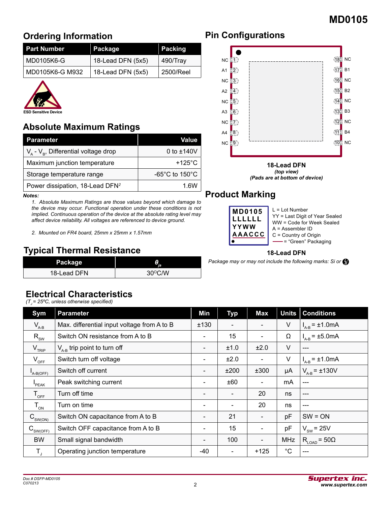# **Ordering Information**

| <b>Part Number</b> | Package           | Packing   |  |  |
|--------------------|-------------------|-----------|--|--|
| MD0105K6-G         | 18-Lead DFN (5x5) | 490/Trav  |  |  |
| MD0105K6-G M932    | 18-Lead DFN (5x5) | 2500/Reel |  |  |



## **Absolute Maximum Ratings**

| <b>Parameter</b>                                        | Value                                |
|---------------------------------------------------------|--------------------------------------|
| $V_{\alpha}$ - $V_{\alpha}$ , Differential voltage drop | 0 to $±140V$                         |
| Maximum junction temperature                            | $+125^{\circ}$ C                     |
| Storage temperature range                               | -65 $^{\circ}$ C to 150 $^{\circ}$ C |
| Power dissipation, 18-Lead DFN <sup>2</sup>             | 1.6W                                 |

*Notes:*

*1. Absolute Maximum Ratings are those values beyond which damage to the device may occur. Functional operation under these conditions is not implied. Continuous operation of the device at the absolute rating level may affect device reliability. All voltages are referenced to device ground.*

*2. Mounted on FR4 board, 25mm x 25mm x 1.57mm*

## **Typical Thermal Resistance**

| Package     | θ                |
|-------------|------------------|
| 18-Lead DFN | $30^{\circ}$ C/W |

#### **Electrical Characteristics**

*(TJ = 25ºC, unless otherwise specified)*

| Sym                                  | <b>Parameter</b>                            | Min                      | <b>Typ</b>               | Max    | <b>Units</b> | <b>Conditions</b>               |
|--------------------------------------|---------------------------------------------|--------------------------|--------------------------|--------|--------------|---------------------------------|
| $V_{A-B}$                            | Max. differential input voltage from A to B | ±130                     | $\overline{\phantom{a}}$ |        | V            | $I_{A-B} = \pm 1.0 \text{mA}$   |
| $R_{\rm sw}$                         | Switch ON resistance from A to B            | $\qquad \qquad -$        | 15                       |        | Ω            | $I_{A-B} = \pm 5.0 \text{mA}$   |
| $V_{TRIP}$                           | $V_{A-B}$ trip point to turn off            | $\overline{\phantom{0}}$ | ±1.0                     | ±2.0   | V            | $---$                           |
| $V_{OFF}$                            | Switch turn off voltage                     | $\overline{\phantom{0}}$ | ±2.0                     |        | V            | $I_{A-B}$ = $\pm$ 1.0mA         |
| $I_{A-B(OFF)}$                       | Switch off current                          |                          | ±200                     | ±300   | μA           | $V_{A-B} = \pm 130V$            |
| $P$ EAK                              | Peak switching current                      | $\qquad \qquad$          | ±60                      |        | mA           | $---$                           |
| $T_{\text{OFF}}$                     | Turn off time                               | $\qquad \qquad$          | $\overline{\phantom{a}}$ | 20     | ns           | $---$                           |
| $T_{_{ON}}$                          | Turn on time                                |                          | $\overline{\phantom{a}}$ | 20     | ns           | $---$                           |
| $C_{SW(ON)}$                         | Switch ON capacitance from A to B           |                          | 21                       |        | pF           | $SW = ON$                       |
| $\text{C}_{\text{SW(OFF)}}$          | Switch OFF capacitance from A to B          | $\blacksquare$           | 15                       |        | pF           | $V_{sw}$ = 25V                  |
| <b>BW</b>                            | Small signal bandwidth                      | $\blacksquare$           | 100                      |        | <b>MHz</b>   | $R_{\text{LOAD}}$ = 50 $\Omega$ |
| $\mathsf{T}_{\scriptscriptstyle{A}}$ | Operating junction temperature              | -40                      | $\blacksquare$           | $+125$ | $^{\circ}C$  | ---                             |

## **Pin Configurations**



**18-Lead DFN** *(top view) (Pads are at bottom of device)*

## **Product Marking**

**18-Lead DFN**

*Package may or may not include the following marks: Si or*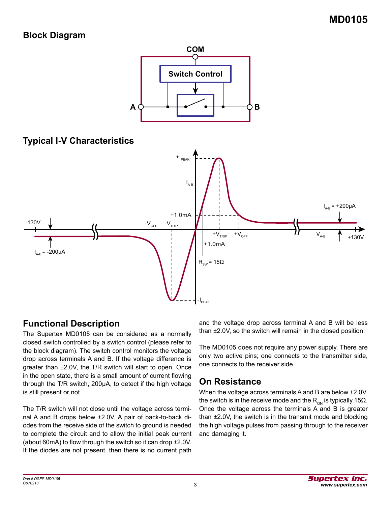### **Block Diagram**



## **Functional Description**

The Supertex MD0105 can be considered as a normally closed switch controlled by a switch control (please refer to the block diagram). The switch control monitors the voltage drop across terminals A and B. If the voltage difference is greater than ±2.0V, the T/R switch will start to open. Once in the open state, there is a small amount of current flowing through the T/R switch, 200µA, to detect if the high voltage is still present or not.

The T/R switch will not close until the voltage across terminal A and B drops below ±2.0V. A pair of back-to-back diodes from the receive side of the switch to ground is needed to complete the circuit and to allow the initial peak current (about 60mA) to flow through the switch so it can drop ±2.0V. If the diodes are not present, then there is no current path

and the voltage drop across terminal A and B will be less than ±2.0V, so the switch will remain in the closed position.

The MD0105 does not require any power supply. There are only two active pins; one connects to the transmitter side, one connects to the receiver side.

#### **On Resistance**

When the voltage across terminals A and B are below ±2.0V, the switch is in the receive mode and the  $R_{\text{OM}}$  is typically 15Ω. Once the voltage across the terminals A and B is greater than ±2.0V, the switch is in the transmit mode and blocking the high voltage pulses from passing through to the receiver and damaging it.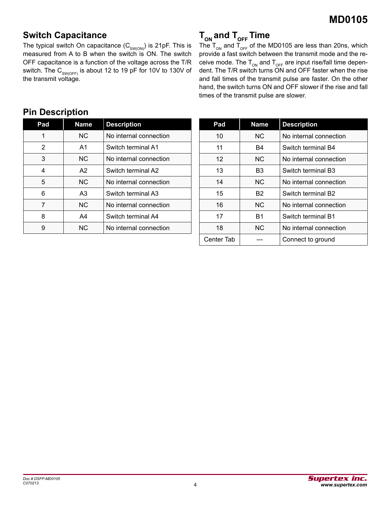## **Switch Capacitance**

The typical switch On capacitance  $(C_{\text{SW(ON)}})$  is 21pF. This is measured from A to B when the switch is ON. The switch OFF capacitance is a function of the voltage across the T/R switch. The  $C_{\text{SW(OFF)}}$  is about 12 to 19 pF for 10V to 130V of the transmit voltage.

# **T<sub>ON</sub>** and T<sub>OFF</sub> Time

The T<sub>ON</sub> and T<sub>OFF</sub> of the MD0105 are less than 20ns, which provide a fast switch between the transmit mode and the receive mode. The  $T_{ON}$  and  $T_{OFF}$  are input rise/fall time dependent. The T/R switch turns ON and OFF faster when the rise and fall times of the transmit pulse are faster. On the other hand, the switch turns ON and OFF slower if the rise and fall times of the transmit pulse are slower.

| Pad | <b>Name</b> | <b>Description</b>     |
|-----|-------------|------------------------|
| 1   | NC.         | No internal connection |
| 2   | A1          | Switch terminal A1     |
| 3   | NC.         | No internal connection |
| 4   | A2          | Switch terminal A2     |
| 5   | NC.         | No internal connection |
| 6   | A3          | Switch terminal A3     |
| 7   | NC.         | No internal connection |
| 8   | A4          | Switch terminal A4     |
| 9   | <b>NC</b>   | No internal connection |

| Pad        | <b>Name</b>    | <b>Description</b>     |
|------------|----------------|------------------------|
| 10         | N <sub>C</sub> | No internal connection |
| 11         | B4             | Switch terminal B4     |
| 12         | <b>NC</b>      | No internal connection |
| 13         | B3             | Switch terminal B3     |
| 14         | NC.            | No internal connection |
| 15         | B <sub>2</sub> | Switch terminal B2     |
| 16         | NC.            | No internal connection |
| 17         | B1             | Switch terminal B1     |
| 18         | NC.            | No internal connection |
| Center Tab |                | Connect to ground      |

#### **Pin Description**